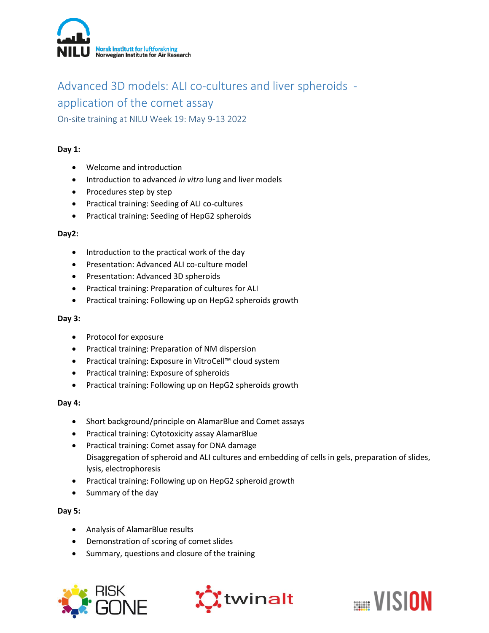

# Advanced 3D models: ALI co-cultures and liver spheroids application of the comet assay

On-site training at NILU Week 19: May 9-13 2022

## **Day 1:**

- Welcome and introduction
- Introduction to advanced *in vitro* lung and liver models
- Procedures step by step
- Practical training: Seeding of ALI co-cultures
- Practical training: Seeding of HepG2 spheroids

#### **Day2:**

- Introduction to the practical work of the day
- **•** Presentation: Advanced ALI co-culture model
- Presentation: Advanced 3D spheroids
- Practical training: Preparation of cultures for ALI
- Practical training: Following up on HepG2 spheroids growth

### **Day 3:**

- Protocol for exposure
- Practical training: Preparation of NM dispersion
- Practical training: Exposure in VitroCell™ cloud system
- Practical training: Exposure of spheroids
- Practical training: Following up on HepG2 spheroids growth

### **Day 4:**

- Short background/principle on AlamarBlue and Comet assays
- Practical training: Cytotoxicity assay AlamarBlue
- Practical training: Comet assay for DNA damage Disaggregation of spheroid and ALI cultures and embedding of cells in gels, preparation of slides, lysis, electrophoresis
- Practical training: Following up on HepG2 spheroid growth
- Summary of the day

### **Day 5:**

- Analysis of AlamarBlue results
- Demonstration of scoring of comet slides
- Summary, questions and closure of the training